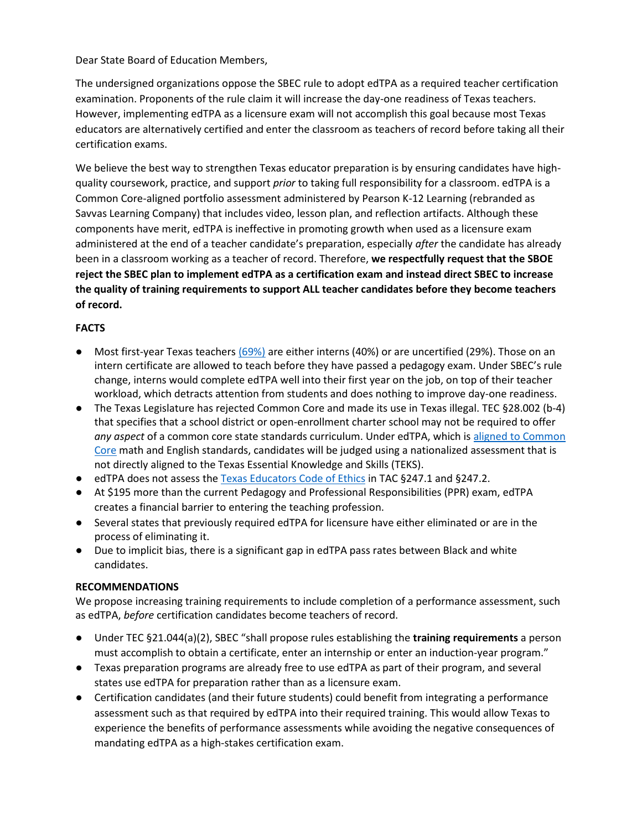Dear State Board of Education Members,

The undersigned organizations oppose the SBEC rule to adopt edTPA as a required teacher certification examination. Proponents of the rule claim it will increase the day-one readiness of Texas teachers. However, implementing edTPA as a licensure exam will not accomplish this goal because most Texas educators are alternatively certified and enter the classroom as teachers of record before taking all their certification exams.

We believe the best way to strengthen Texas educator preparation is by ensuring candidates have highquality coursework, practice, and support *prior* to taking full responsibility for a classroom. edTPA is a Common Core-aligned portfolio assessment administered by Pearson K-12 Learning (rebranded as Savvas Learning Company) that includes video, lesson plan, and reflection artifacts. Although these components have merit, edTPA is ineffective in promoting growth when used as a licensure exam administered at the end of a teacher candidate's preparation, especially *after* the candidate has already been in a classroom working as a teacher of record. Therefore, **we respectfully request that the SBOE reject the SBEC plan to implement edTPA as a certification exam and instead direct SBEC to increase the quality of training requirements to support ALL teacher candidates before they become teachers of record.**

## **FACTS**

- Most first-year Texas teachers [\(69%\)](https://www.linkedin.com/posts/redee-center_most-new-texas-teachers-not-assessed-for-activity-6890352605084626944-X6_M?utm_source=linkedin_share&utm_medium=member_desktop_web) are either interns (40%) or are uncertified (29%). Those on an intern certificate are allowed to teach before they have passed a pedagogy exam. Under SBEC's rule change, interns would complete edTPA well into their first year on the job, on top of their teacher workload, which detracts attention from students and does nothing to improve day-one readiness.
- The Texas Legislature has rejected Common Core and made its use in Texas illegal. TEC §28.002 (b-4) that specifies that a school district or open-enrollment charter school may not be required to offer *any aspect* of a common core state standards curriculum. Under edTPA, which i[s aligned to Common](https://www.uwgb.edu/UWGBCMS/media/Academics/edtpa-features-1.pdf)  [Core](https://www.uwgb.edu/UWGBCMS/media/Academics/edtpa-features-1.pdf) math and English standards, candidates will be judged using a nationalized assessment that is not directly aligned to the Texas Essential Knowledge and Skills (TEKS).
- edTPA does not assess th[e Texas Educators Code of Ethics](https://texreg.sos.state.tx.us/public/readtac$ext.ViewTAC?tac_view=4&ti=19&pt=7&ch=247&rl=Y) in TAC §247.1 and §247.2.
- At \$195 more than the current Pedagogy and Professional Responsibilities (PPR) exam, edTPA creates a financial barrier to entering the teaching profession.
- Several states that previously required edTPA for licensure have either eliminated or are in the process of eliminating it.
- Due to implicit bias, there is a significant gap in edTPA pass rates between Black and white candidates.

## **RECOMMENDATIONS**

We propose increasing training requirements to include completion of a performance assessment, such as edTPA, *before* certification candidates become teachers of record.

- Under TEC §21.044(a)(2), SBEC "shall propose rules establishing the **training requirements** a person must accomplish to obtain a certificate, enter an internship or enter an induction-year program."
- Texas preparation programs are already free to use edTPA as part of their program, and several states use edTPA for preparation rather than as a licensure exam.
- Certification candidates (and their future students) could benefit from integrating a performance assessment such as that required by edTPA into their required training. This would allow Texas to experience the benefits of performance assessments while avoiding the negative consequences of mandating edTPA as a high-stakes certification exam.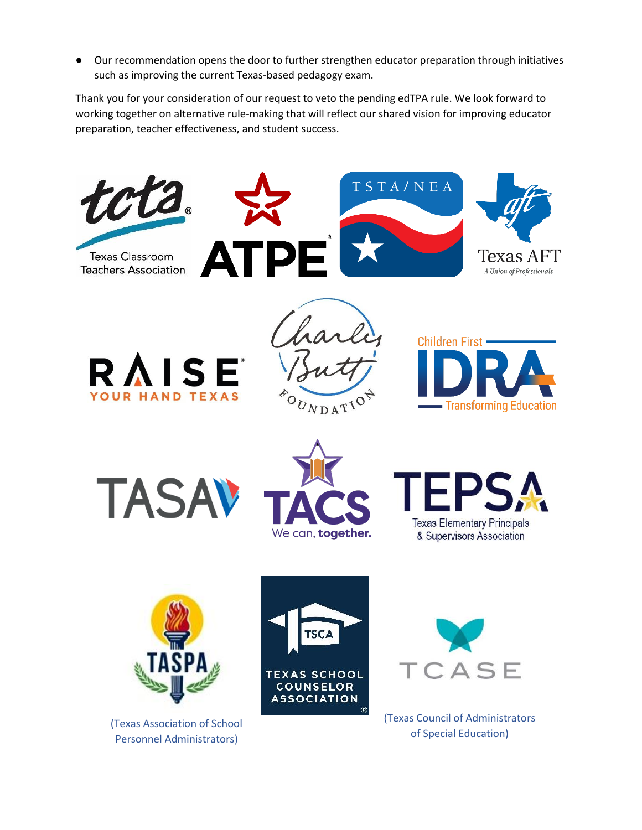● Our recommendation opens the door to further strengthen educator preparation through initiatives such as improving the current Texas-based pedagogy exam.

Thank you for your consideration of our request to veto the pending edTPA rule. We look forward to working together on alternative rule-making that will reflect our shared vision for improving educator preparation, teacher effectiveness, and student success.



(Texas Association of School Personnel Administrators)

(Texas Council of Administrators of Special Education)